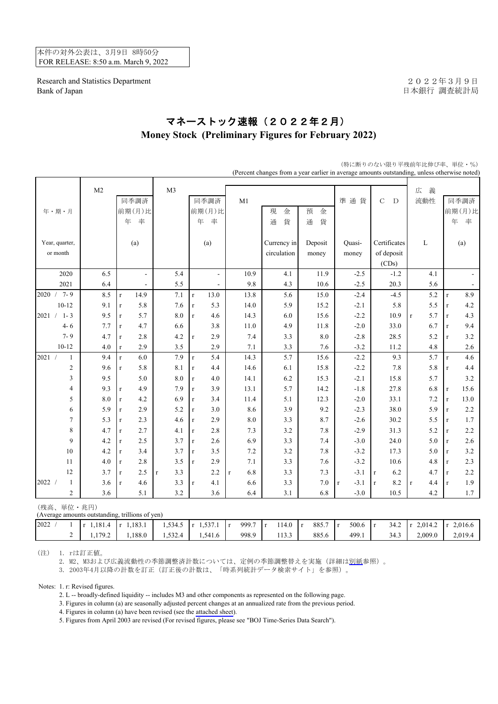本件の対外公表は、3月9日 8時50分 FOR RELEASE: 8:50 a.m. March 9, 2022

Research and Statistics Department 2022年3月9日 Bank of Japan <br>
日本銀行 調査統計局

## マネーストック速報(2022年2月) **Money Stock (Preliminary Figures for February 2022)**

|                               |                |                          |                    |                          |                     | (Percent changes from a year earlier in average amounts outstanding, unless otherwise noted) |         |                   |                    |                     |                     |
|-------------------------------|----------------|--------------------------|--------------------|--------------------------|---------------------|----------------------------------------------------------------------------------------------|---------|-------------------|--------------------|---------------------|---------------------|
|                               | M <sub>2</sub> |                          | M <sub>3</sub>     |                          |                     |                                                                                              |         |                   |                    | 広<br>義              |                     |
|                               |                | 同季調済                     |                    | 同季調済                     | M1                  |                                                                                              |         | 準通貨               | $\mathbf C$<br>D   | 流動性                 | 同季調済                |
| 年・期・月                         |                | 前期(月)比                   |                    | 前期(月)比                   |                     | 現<br>金                                                                                       | 預<br>金  |                   |                    |                     | 前期(月)比              |
|                               |                | 年<br>率                   |                    | 年<br>率                   |                     | 貨<br>通                                                                                       | 通<br>貨  |                   |                    |                     | 年<br>率              |
|                               |                |                          |                    |                          |                     |                                                                                              |         |                   |                    |                     |                     |
| Year, quarter,                |                | (a)                      |                    | (a)                      |                     | Currency in                                                                                  | Deposit | Quasi-            | Certificates       | L                   | (a)                 |
| or month                      |                |                          |                    |                          |                     | circulation                                                                                  | money   | money             | of deposit         |                     |                     |
|                               |                |                          |                    |                          |                     |                                                                                              |         |                   | (CDs)              |                     |                     |
| 2020                          | 6.5            | $\overline{\phantom{a}}$ | 5.4                | $\overline{a}$           | 10.9                | 4.1                                                                                          | 11.9    | $-2.5$            | $-1.2$             | 4.1                 |                     |
| 2021                          | 6.4            | $\overline{\phantom{a}}$ | 5.5                | $\overline{\phantom{a}}$ | 9.8                 | 4.3                                                                                          | 10.6    | $-2.5$            | 20.3               | 5.6                 | $\blacksquare$      |
| $2020 / 7 - 9$                | 8.5            | 14.9<br>$\bf r$          | 7.1                | 13.0<br>$\mathbf{r}$     | 13.8                | 5.6                                                                                          | 15.0    | $-2.4$            | $-4.5$             | 5.2                 | 8.9<br>$\mathbf r$  |
| $10 - 12$                     | 9.1            | 5.8<br>$\mathbf r$       | 7.6                | 5.3<br>$\bf r$           | 14.0                | 5.9                                                                                          | 15.2    | $-2.1$            | 5.8                | 5.5                 | 4.2<br>$\mathbf r$  |
| $1 - 3$<br>2021<br>$\sqrt{2}$ | 9.5            | 5.7<br>$\bf r$           | 8.0                | 4.6<br>$\mathbf{r}$      | 14.3                | 6.0                                                                                          | 15.6    | $-2.2$            | 10.9               | 5.7<br>$\mathbf{r}$ | 4.3<br>$\mathbf{r}$ |
| $4 - 6$                       | 7.7            | 4.7<br>$\mathbf{r}$      | 6.6                | 3.8                      | 11.0                | 4.9                                                                                          | 11.8    | $-2.0$            | 33.0               | 6.7                 | 9.4<br>$\mathbf{r}$ |
| $7 - 9$                       | 4.7            | 2.8<br>$\mathbf r$       | 4.2                | 2.9<br>r                 | 7.4                 | 3.3                                                                                          | 8.0     | $-2.8$            | 28.5               | 5.2                 | 3.2<br>$\mathbf{r}$ |
| $10 - 12$                     | 4.0            | 2.9<br>$\bf r$           | 3.5                | 2.9                      | 7.1                 | 3.3                                                                                          | 7.6     | $-3.2$            | 11.2               | 4.8                 | 2.6                 |
| 2021 /<br>$\mathbf{1}$        | 9.4            | 6.0<br>$\mathbf r$       | 7.9                | 5.4<br>$\mathbf{r}$      | 14.3                | 5.7                                                                                          | 15.6    | $-2.2$            | 9.3                | 5.7                 | 4.6<br>$\mathbf r$  |
| $\sqrt{2}$                    | 9.6            | 5.8<br>$\mathbf r$       | 8.1                | 4.4<br>$\mathbf{r}$      | 14.6                | 6.1                                                                                          | 15.8    | $-2.2$            | 7.8                | 5.8                 | 4.4<br>$\mathbf r$  |
| 3                             | 9.5            | 5.0                      | 8.0                | 4.0<br>$\bf r$           | 14.1                | 6.2                                                                                          | 15.3    | $-2.1$            | 15.8               | 5.7                 | 3.2                 |
| $\overline{4}$                | 9.3            | 4.9<br>$\mathbf r$       | 7.9                | 3.9<br>$\mathbf{r}$      | 13.1                | 5.7                                                                                          | 14.2    | $-1.8$            | 27.8               | 6.8                 | 15.6<br>$\mathbf r$ |
| 5                             | 8.0            | 4.2<br>$\mathbf r$       | 6.9                | 3.4<br>r                 | 11.4                | 5.1                                                                                          | 12.3    | $-2.0$            | 33.1               | 7.2                 | 13.0<br>$\mathbf r$ |
| 6                             | 5.9            | 2.9<br>$\mathbf r$       | 5.2                | 3.0<br>$\mathbf{r}$      | 8.6                 | 3.9                                                                                          | 9.2     | $-2.3$            | 38.0               | 5.9                 | 2.2<br>$\mathbf r$  |
| $\tau$                        | 5.3            | 2.3<br>$\mathbf r$       | 4.6                | 2.9<br>$\mathbf{r}$      | $\ \, 8.0$          | 3.3                                                                                          | 8.7     | $-2.6$            | 30.2               | 5.5                 | 1.7<br>$\mathbf r$  |
| 8                             | 4.7            | 2.7<br>$\mathbf r$       | 4.1                | 2.8<br>$\mathbf{r}$      | 7.3                 | 3.2                                                                                          | $7.8\,$ | $-2.9$            | 31.3               | 5.2                 | 2.2<br>$\mathbf r$  |
| 9                             | 4.2            | 2.5<br>$\mathbf{r}$      | 3.7                | 2.6<br>r                 | 6.9                 | 3.3                                                                                          | 7.4     | $-3.0$            | 24.0               | 5.0                 | 2.6<br>$\mathbf r$  |
| 10                            | $4.2\,$        | 3.4<br>$\bf r$           | 3.7                | 3.5<br>r                 | 7.2                 | 3.2                                                                                          | $7.8\,$ | $-3.2$            | 17.3               | 5.0                 | 3.2<br>$\mathbf r$  |
| 11                            | 4.0            | 2.8<br>$\mathbf{r}$      | 3.5                | 2.9<br>$\mathbf{r}$      | 7.1                 | 3.3                                                                                          | 7.6     | $-3.2$            | 10.6               | 4.8                 | 2.3<br>$\mathbf{r}$ |
| 12                            | 3.7            | 2.5<br>$\mathbf r$       | 3.3<br>$\mathbf r$ | 2.2                      | 6.8<br>$\mathbf{r}$ | 3.3                                                                                          | 7.3     | $-3.1$            | 6.2<br>$\mathbf r$ | 4.7                 | 2.2<br>$\mathbf{r}$ |
| 2022 /<br>$\mathbf{1}$        | 3.6            | 4.6<br>$\mathbf r$       | 3.3                | 4.1<br>r                 | 6.6                 | 3.3                                                                                          | $7.0\,$ | $-3.1$<br>$\bf r$ | 8.2<br>$\mathbf r$ | 4.4<br>$\mathbf r$  | 1.9<br>$\mathbf{r}$ |
| $\overline{2}$                | 3.6            | 5.1                      | 3.2                | 3.6                      | 6.4                 | 3.1                                                                                          | 6.8     | $-3.0$            | 10.5               | 4.2                 | 1.7                 |
| (残高、単位·兆円)                    |                |                          |                    |                          |                     |                                                                                              |         |                   |                    |                     |                     |

(特に断りのない限り平残前年比伸び率、単位・%)

(Average amounts outstanding, trillions of yen)

| 2022 | 1.181.4<br>$\mathbf{r}$ | 1.183.1<br>$\mathbf{r}$ | 1,534.5 | 5371<br>1.33/1.1 | 999.7 | 114.0<br>l r | 885.7 | 500.6 | 34.2 | 2.014.2<br>$\mathbf{r}$ | 2.016.6<br>$\mathbf{r}$ |
|------|-------------------------|-------------------------|---------|------------------|-------|--------------|-------|-------|------|-------------------------|-------------------------|
|      | 1702                    | .188.0                  | 1.532.4 | 1.541.6          | 998.9 | 113.3        | 885.6 | 499.1 | 34.3 | 2,009.0                 | 2.019.4                 |
|      |                         |                         |         |                  |       |              |       |       |      |                         |                         |

(注) 1. rは訂正値。

2. M2、M3および広義流動性の季節調整済計数については、定例の季節調整替えを実施(詳細は[別紙参](https://www.boj.or.jp/statistics/outline/notice_2022/not220309a.htm)照)。

3. 2003年4月以降の計数を訂正(訂正後の計数は、「時系列統計データ検索サイト」を参照)。

Notes: 1. r: Revised figures.

2. L -- broadly-defined liquidity -- includes M3 and other components as represented on the following page.

3. Figures in column (a) are seasonally adjusted percent changes at an annualized rate from the previous period.

4. Figures in column (a) have been revised (see the [attached sheet\)](https://www.boj.or.jp/en/statistics/outline/notice_2022/not220309a.htm).

5. Figures from April 2003 are revised (For revised figures, please see "BOJ Time-Series Data Search").